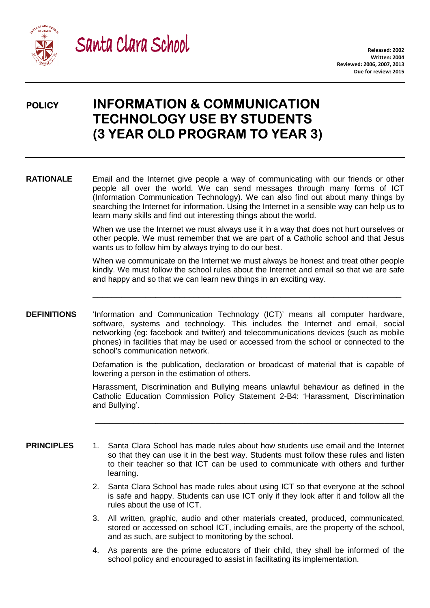



# **POLICY INFORMATION & COMMUNICATION TECHNOLOGY USE BY STUDENTS STUDENTS (3 YEAR OLD PROGRAM TO YEAR 3)**

**RATIONALE** Email and the Internet give people a way of communicating with our friends or other people all over the world. We can send messages through many forms of ICT (Information Communication Technology). We can also find out about many things by searching the Internet for information. Using the Internet in a sensible way can help us to learn many skills and find out interesting things about the world. searching the Internet for information. Using the Internet in a sensible way can help us to<br>learn many skills and find out interesting things about the world.<br>When we use the Internet we must always use it in a way that do

When we use the Internet we must always use it in a way that does not hurt ourselves or wants us to follow him by always trying to do our best.

When we communicate on the Internet we must always be honest and treat other people kindly. We must follow the school rules about the Internet and email so that we are safe and happy and so that we can learn new things in an exciting way. emember that we are part of a Catholic school and that Jesus<br>
v always trying to do our best.<br>
on the Internet we must always be honest and treat other people<br>
le school rules about the Internet and email so that we are sa

\_\_\_\_\_\_\_\_\_\_\_\_\_\_\_\_\_\_\_\_\_\_\_\_\_\_\_\_\_\_\_\_\_\_\_\_\_\_\_\_\_\_\_\_\_\_\_\_\_\_\_\_\_\_\_\_\_\_\_\_\_\_\_\_

**DEFINITIONS** 'Information and Communication Technology (ICT)' means all computer hardware, software, systems and technology. This includes the Internet and email, social networking (eg: facebook and twitter) and telecommunications devices (such as mobile phones) in facilities that may be used or accessed from the school or connected to the school's communication network.

> Defamation is the publication, declaration or broadcast of material that is capable of lowering a person in the estimation of others.

Harassment, Discrimination and Bullying means unlawful behaviour as defined in the Catholic Education Commission Policy Statement 2 2-B4: 'Harassment, Discrimination and Bullying'. Catholic Education Commission Policy Statement 2-B4: 'Harassment, Discrimination<br>and Bullying'.<br>**PRINCIPLES** 1. Santa Clara School has made rules about how students use email and the Internet

so that they can use it in the best way. Students must follow these rules and listen to their teacher so that ICT can be used to communicate with others and further learning.

\_\_\_\_\_\_\_\_\_\_\_\_\_\_\_\_\_\_\_\_\_\_\_\_\_\_\_\_\_\_\_\_\_\_\_\_\_\_\_\_\_\_\_\_\_\_\_\_\_\_\_\_\_\_\_\_\_\_\_\_\_\_\_\_

- 2. Santa Clara School has made rules about using ICT so that everyone at the school is safe and happy. Students can use ICT only if they look after it and follow all the rules about the use of ICT.
	- 3. All written, graphic, audio and other materials created, produced, communicated, stored or accessed on school ICT, including emails, are the property of the school, and as such, are subject to monitoring by the school.
	- 4. As parents are the prime educators of their child, they shall be informed of the school policy and encouraged to assist in facilitating its implementation.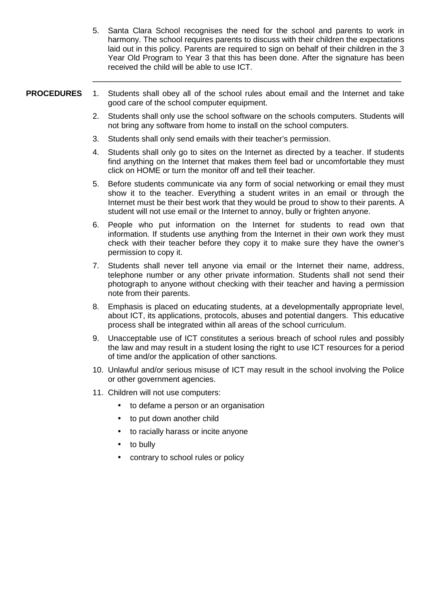5. Santa Clara School recognises the need for the school and parents to work in harmony. The school requires parents to discuss with their children the expectations laid out in this policy. Parents are required to sign on behalf of their children in the 3 Year Old Program to Year 3 that this has been done. After the signature has been received the child will be able to use ICT.

- **PROCEDURES** 1. Students shall obey all of the school rules about email and the Internet and take good care of the school computer equipment.
	- 2. Students shall only use the school software on the schools computers. Students will not bring any software from home to install on the school computers.
	- 3. Students shall only send emails with their teacher's permission.

\_\_\_\_\_\_\_\_\_\_\_\_\_\_\_\_\_\_\_\_\_\_\_\_\_\_\_\_\_\_\_\_\_\_\_\_\_\_\_\_\_\_\_\_\_\_\_\_\_\_\_\_\_\_\_\_\_\_\_\_\_\_\_\_

- 4. Students shall only go to sites on the Internet as directed by a teacher. If students find anything on the Internet that makes them feel bad or uncomfortable they must click on HOME or turn the monitor off and tell their teacher.
- 5. Before students communicate via any form of social networking or email they must show it to the teacher. Everything a student writes in an email or through the Internet must be their best work that they would be proud to show to their parents. A student will not use email or the Internet to annoy, bully or frighten anyone.
- 6. People who put information on the Internet for students to read own that information. If students use anything from the Internet in their own work they must check with their teacher before they copy it to make sure they have the owner's permission to copy it.
- 7. Students shall never tell anyone via email or the Internet their name, address, telephone number or any other private information. Students shall not send their photograph to anyone without checking with their teacher and having a permission note from their parents.
- 8. Emphasis is placed on educating students, at a developmentally appropriate level, about ICT, its applications, protocols, abuses and potential dangers. This educative process shall be integrated within all areas of the school curriculum.
- 9. Unacceptable use of ICT constitutes a serious breach of school rules and possibly the law and may result in a student losing the right to use ICT resources for a period of time and/or the application of other sanctions.
- 10. Unlawful and/or serious misuse of ICT may result in the school involving the Police or other government agencies.
- 11. Children will not use computers:
	- to defame a person or an organisation
	- to put down another child
	- to racially harass or incite anyone
	- to bully
	- contrary to school rules or policy